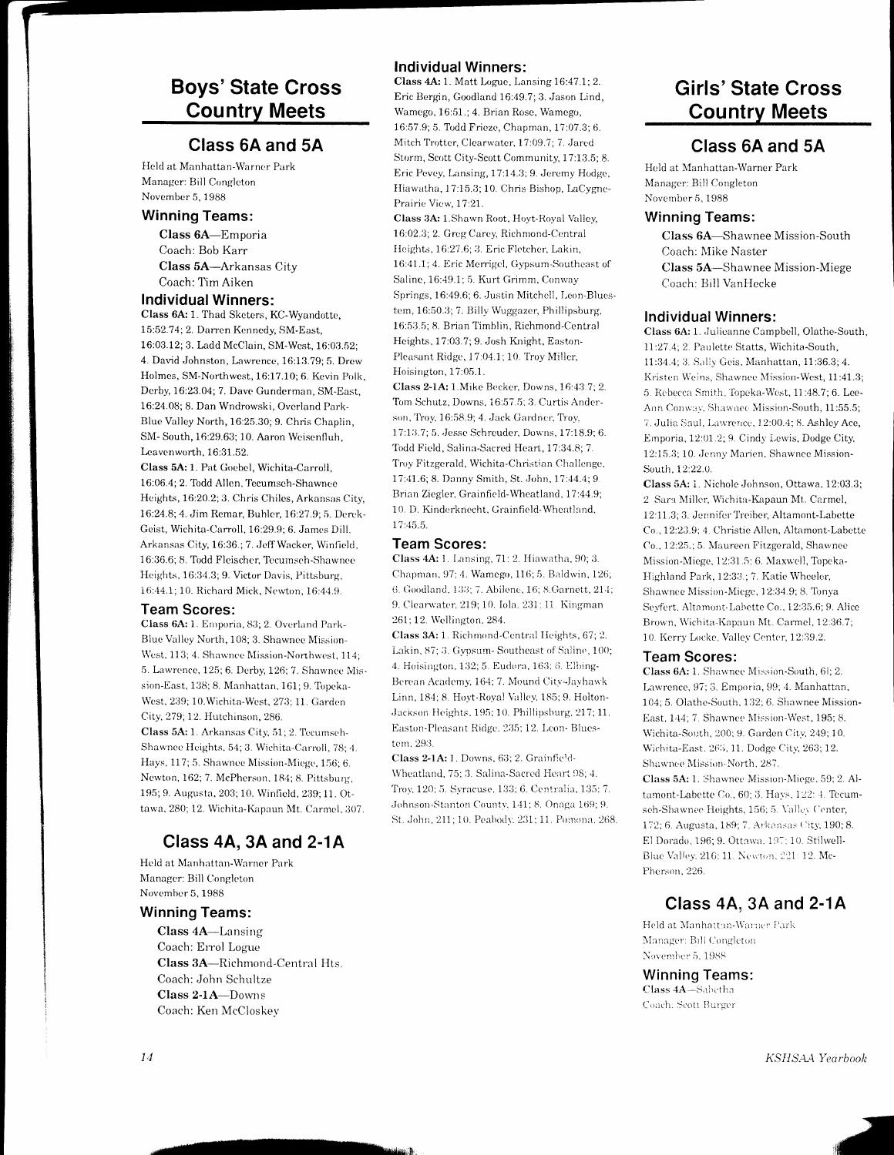# Boys'State Cross Country Meets

## Class 6A and 5A

Held at Manhattan-Warner Park Managcr: Bill Conglcton November 5, 1988

### Winning Teams:

Class 6A-Emporia Coach: Bob Karr Class 5A-Arkansas City Coach: Tirn Aiken

#### Individual Winners:

Class 6A: 1. Thad Sketers, KC-Wyandotte, 15:52.7 4; 2. Darrcn Kcnncdy, SM-East, 16:03.12; 3. Ladd McClain, SM-West, 16:03.52; 4. David Johnston, Lawrence, 16:13.79; 5. Drew Holmes, SM-Northwest, 16:17.10; 6. Kevin Polk, Dcrby, 1623.04;7. Davc Gunderman, SM-East, 16:24.08; 8. Dan Wndrowski, Overland Park-Bluc Valley North,16:25.30;9. Chris Chaplin, SM- South, 16:29.63; 10. Aaron Wciscnfluh, Leavenworth, 16:31.52.

Class 5A: 1. Pat Goebel, Wichita-Carroll, 16:06.4; 2. Todd Allen. Tccumsch-Shawncc Heights, 16:20.2; 3. Chris Chiles, Arkansas City, 16:24.8; 4. Jim Remar, Buhler, 16:27.9; 5. Derek-Gcist, Wichita-Carroll, 16:29.9; 6. Janrcs Dill, Arkansas City, 16:36.; 7. Jeff Wacker, Winfield. 16:36.6; 8. Todd Fleischer, Tecumsch-Shawnce Heights, 16:34.3; 9. Victor Davis, Pittsburg, 16:44.1; 10. Richard Mick, Newton, 16:44.9.

#### Team Scores:

Class 6A: 1. Emporia, 83; 2. Overland Park-Blue Valley North, 108; 3. Shawnce Mission-West, 113; 4. Shawnce Mission-Northwest, 114; 5. Lawrence, 125; 6. Derby, 126; 7. Shawnee Mission-East, 138; 8. Manhattan, 161; 9. Topeka-West, 239; 10.Wichita-West, 273; 11. Garden City, 279; 12. Hutchinson, 286.

Class 5A: 1. Arkansas City, 51; 2. Tecumsch-Shawnee Heights, 54; 3. Wichita-Carroll, 78; 4. Hays, 117; 5. Shawnee Mission-Miege, 156; 6. Newton, 162; 7. McPherson, 184; 8. Pittsburg, 195; 9. Augusta, 203; 10. Winfield, 239; 11. Ottawa, 280; 12. Wichita-Kapaun Mt. Carmel, 307.

# Class 4A, 3A and 2-1A

Hcld at Manhattan-Warncr Park Manager: Bill Congleton November 5, 1988

### Winning Teams:

Class 4A-Lansing Coach: En'ol Logue Class 3A-Richmond-Central Hts. Coach: John Schultze Class 2-1A-Downs Coach: Ken McCloskev

## Individual Winners:

Class 4A: 1. Matt Logue, Lansing 16:47.1; 2. Eric Bergin, Goodland 16:49.7;3. Jason Lind, Wamego, 16:51.; 4. Brian Rose, Wamego, 16:57.9; 5. Todd Frieze, Chapman, 17:07.3; 6. Mitch Trotter, Clearwater, 17:09.7; 7. Jared Storrn, Scott City-Scott Community, 17:13.5; 8. Eric Pevey, Lansing, 17:14.3; 9. Jeremy Hodge, Hiawatha, 17:15.3; 10. Chris Bishop, LaCygne-Prairic Vicw, 17:21.

Class 3A: 1.Shawn Root, Hoyt-Royal Valley, 16:02.3; 2. Greg Carey, Richmond-Central Heights, 16:27.6; 3. Eric Fletcher, Lakin, 16:41.1; 4. Eric Merrigel, Gypsum-Southeast of Saline, 16:49.1; 5. Kurt Grimm, Conway Springs, 16:49.6; 6. Justin Mitchell, Leon-Bluestem, 16:50.3; 7. Billy Wuggazer, Phillipsburg, 16:53.5; 8. Brian Timblin, Richmond-Central Heights, 17:03.7; 9. Josh Knight, Easton-Pleasant Ridge, 17:04.1; 10. Troy Miller. Iloisington, 17:05.1.

Class 2-1A: 1 Mike Becker, Downs, 16:43.7; 2. Tom Schutz, Downs, 16:57.5; 3. Curtis Anderson, Troy, 16:58.9; 4. Jack Gardner, Troy, 17:13.7; 5. Jesse Schreuder, Downs, 17:18.9; 6. Todd Field, Salina-Sacred Heart, 17:34.8; 7. Troy Fitzgerald, Wichita-Christian Challenge, 17:41.6; 8. Danny Smith, St. John, 17:44.4; 9 Brian Ziegler, Grainfield-Wheatland, 17:44.9; 10. D. Kinderknecht, Grainfield-Wheatland, 17:45.5

### Team Scores:

Class 4A: 1. Lansing, 71: 2. Hiawatha, 90; 3. Chapman, 97; 4. Wamego, 116; 5. Baldwin, 126; 6. Goodland, 133; 7. Abilene, 16; 8. Garnett, 214; 9. Clearwater, 219; 10. Iola. 231; 11. Kingman 261 : 12. Wcllington. 284.

Class 3A: 1. Richmond-Central Heights, 67; 2. Lakin, 87; 3. Gypsum- Southeast of Saline, 100; 4. Hoisington, 132; 5. Eudora, 163; 6. Elbing-Berean Academy, 164; 7. Mound City-Jayhawk Linn, 184; 8. Hoyt-Royal Valley, 185; 9. Holton-Jackson Heights, 195; 10. Phillipsburg, 217; 11. Easton-Pleasant Ridge. 235; 12. Leon- Bluestem. 293.

Class 2-1A: 1. Downs, 63; 2. Grainfield-Wheatland, 75; 3. Salina-Sacred Heart 98; 4. Troy, 120; 5. Syracuse, 133; 6. Centralia, 135; 7. Johnson-Stanton County, 141; 8. Onaga 169; 9. St. John, 211; 10. Peabody. 231; 11. Pomona. 268.

# Girls'State Cross Country Meets

## Class 6A and 5A

Held at Manhattan-Warner Park Manager: Bill Congleton Novcrnber 5, 1988

### Winning Teams:

Class 6A-Shawnee Mission-South Coach: NIike Naster Class 5A-Shawnee Mission-Miege Coach: Bill VanHecke

#### Individual Winners:

Class 6A: 1. Julicanne Campbell, Olathe-South, 11:27.4; 2. Paulette Statts, Wichita-South, 11:34.4; 3. Sally Geis. Manhattan, 11:36.3; 4. Kristen Weins, Shawnee Mission-West, 11:41.3; 5. Rebecca Smith, Topeka-West, 11:48.7; 6. Lee-Ann Conway, Shawnee Mission-South, 11:55.5; 7. Julia Saul, Lawrence, 12:00.4; 8. Ashley Ace, Emporia, 12:01.2; 9. Cindy Lewis, Dodge City, 12:15.3; 10. Jenny Marien, Shawnee Mission-South, 12:22.0.

Class 5A: i. Nichole,Iohnson, Ottawa. 12:03.3; 2 Sara Miller, Wichita-Kapaun Mt. Carmel, 12:11.3; 3. Jennifer Treiber, Altamont-Labette Co., 12:23.9; 4. Christie Allen, Altamont-Labette Co., 12:25.; 5. Maureen Fitzgerald, Shawnee Mission-Miege, 12:31.5: 6. Maxwell, Topeka-Highland Park, 12:33.; 7. Katie Wheeler, Shawnee Mission-Miege, 12:34.9; 8. Tonya Seyfert, Altamont-Labette Co., 12:35.6; 9. Alice Brown, Wichita-Kapaun Mt. Carmel, 12:36.7; 10. Kerry Locke, Valley Center, 12:39.2.

#### Team Scores:

Class 6A: 1. Shawnee Mission-South, 6i; 2. Lawrence, 97; 3. Emporia, 99; 4. Manhattan, 104; 5. Olathe-South, 132; 6. Shawnee Mission-East, 144; 7. Shawnee Mission-West, 195; 8. Wichita-South, 200; 9. Garden City, 249; 10. Wichita-East. 265, 11. Dodge City, 263; 12. Shawnee Mission-North, 287.

Class 5A: 1. Shawnee Mission-Miege, 59; 2. Altamont-Labette Co., 60; 3. Hays. 122: 4. Tecumsch-Shawnec Heights, 156; 5. Valley Center, 172; 6. Augusta, 189; 7. Arkansas City, 190; 8. El Dorado, 196; 9. Ottawa. 197; 10. Stilwell-Blue Valley. 216: 11. Newton, 221: 12. Mc-Pherson, 226.

# Class 44, 3A and 2-14

Held at Manhaitun-Warner Park Manager: Bill Congleton November 5, 1988

#### Winning Teams: Class 4A-Sabetha

Coach: Scott Burger

KSHSAA Yearbook